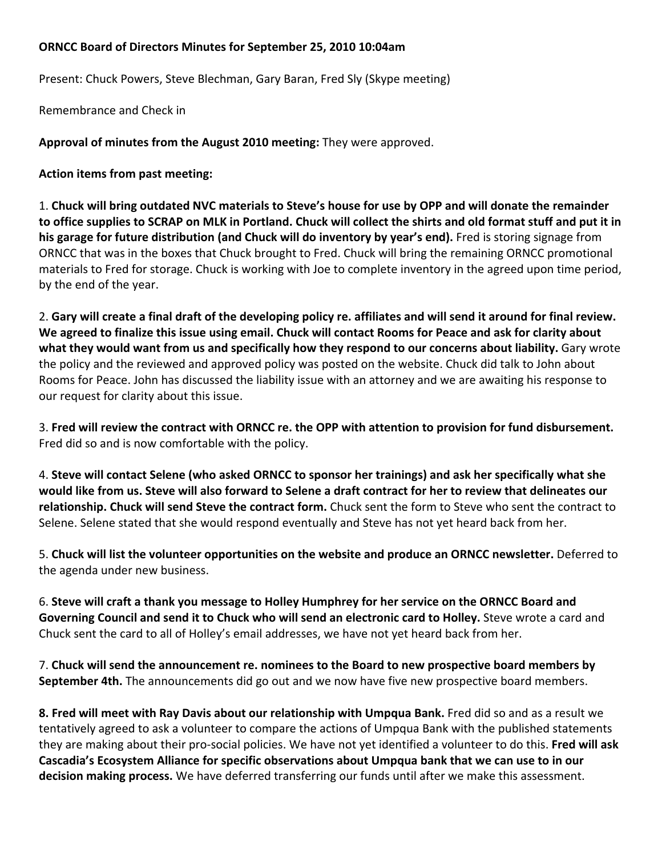## **ORNCC Board of Directors Minutes for September 25, 2010 10:04am**

Present: Chuck Powers, Steve Blechman, Gary Baran, Fred Sly (Skype meeting)

Remembrance and Check in

**Approval of minutes from the August 2010 meeting:** They were approved.

**Action items from past meeting:**

1. Chuck will bring outdated NVC materials to Steve's house for use by OPP and will donate the remainder to office supplies to SCRAP on MLK in Portland. Chuck will collect the shirts and old format stuff and put it in **his garage for future distribution (and Chuck will do inventory by year's end).** Fred is storing signage from ORNCC that was in the boxes that Chuck brought to Fred. Chuck will bring the remaining ORNCC promotional materials to Fred for storage. Chuck is working with Joe to complete inventory in the agreed upon time period, by the end of the year.

2. Gary will create a final draft of the developing policy re. affiliates and will send it around for final review. We agreed to finalize this issue using email. Chuck will contact Rooms for Peace and ask for clarity about **what they would want from us and specifically how they respond to our concerns about liability.** Gary wrote the policy and the reviewed and approved policy was posted on the website. Chuck did talk to John about Rooms for Peace. John has discussed the liability issue with an attorney and we are awaiting his response to our request for clarity about this issue.

3. Fred will review the contract with ORNCC re. the OPP with attention to provision for fund disbursement. Fred did so and is now comfortable with the policy.

4. **Steve will contact Selene (who asked ORNCC to sponsor her trainings) and ask her specifically what she** would like from us. Steve will also forward to Selene a draft contract for her to review that delineates our **relationship. Chuck will send Steve the contract form.** Chuck sent the form to Steve who sent the contract to Selene. Selene stated that she would respond eventually and Steve has not yet heard back from her.

5. **Chuck will list the volunteer opportunities on the website and produce an ORNCC newsletter.** Deferred to the agenda under new business.

6. **Steve will craft a thank you message to Holley Humphrey for her service on the ORNCC Board and Governing Council and send it to Chuck who will send an electronic card to Holley.** Steve wrote a card and Chuck sent the card to all of Holley's email addresses, we have not yet heard back from her.

7. **Chuck will send the announcement re. nominees to the Board to new prospective board members by September 4th.** The announcements did go out and we now have five new prospective board members.

**8. Fred will meet with Ray Davis about our relationship with Umpqua Bank.** Fred did so and as a result we tentatively agreed to ask a volunteer to compare the actions of Umpqua Bank with the published statements they are making about their pro‐social policies. We have not yet identified a volunteer to do this. **Fred will ask Cascadia's Ecosystem Alliance for specific observations about Umpqua bank that we can use to in our decision making process.** We have deferred transferring our funds until after we make this assessment.